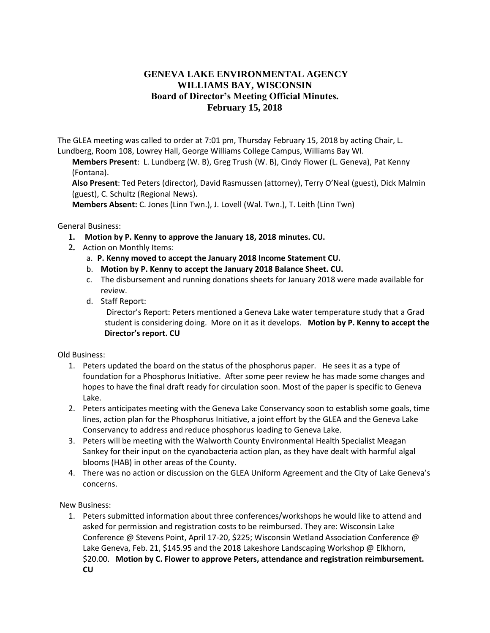## **GENEVA LAKE ENVIRONMENTAL AGENCY WILLIAMS BAY, WISCONSIN Board of Director's Meeting Official Minutes. February 15, 2018**

The GLEA meeting was called to order at 7:01 pm, Thursday February 15, 2018 by acting Chair, L. Lundberg, Room 108, Lowrey Hall, George Williams College Campus, Williams Bay WI.

**Members Present**: L. Lundberg (W. B), Greg Trush (W. B), Cindy Flower (L. Geneva), Pat Kenny (Fontana).

**Also Present**: Ted Peters (director), David Rasmussen (attorney), Terry O'Neal (guest), Dick Malmin (guest), C. Schultz (Regional News).

**Members Absent:** C. Jones (Linn Twn.), J. Lovell (Wal. Twn.), T. Leith (Linn Twn)

General Business:

- **1. Motion by P. Kenny to approve the January 18, 2018 minutes. CU.**
- **2.** Action on Monthly Items:
	- a. **P. Kenny moved to accept the January 2018 Income Statement CU.**
	- b. **Motion by P. Kenny to accept the January 2018 Balance Sheet. CU.**
	- c. The disbursement and running donations sheets for January 2018 were made available for review.
	- d. Staff Report:

Director's Report: Peters mentioned a Geneva Lake water temperature study that a Grad student is considering doing. More on it as it develops. **Motion by P. Kenny to accept the Director's report. CU** 

Old Business:

- 1. Peters updated the board on the status of the phosphorus paper. He sees it as a type of foundation for a Phosphorus Initiative. After some peer review he has made some changes and hopes to have the final draft ready for circulation soon. Most of the paper is specific to Geneva Lake.
- 2. Peters anticipates meeting with the Geneva Lake Conservancy soon to establish some goals, time lines, action plan for the Phosphorus Initiative, a joint effort by the GLEA and the Geneva Lake Conservancy to address and reduce phosphorus loading to Geneva Lake.
- 3. Peters will be meeting with the Walworth County Environmental Health Specialist Meagan Sankey for their input on the cyanobacteria action plan, as they have dealt with harmful algal blooms (HAB) in other areas of the County.
- 4. There was no action or discussion on the GLEA Uniform Agreement and the City of Lake Geneva's concerns.

New Business:

1. Peters submitted information about three conferences/workshops he would like to attend and asked for permission and registration costs to be reimbursed. They are: Wisconsin Lake Conference @ Stevens Point, April 17-20, \$225; Wisconsin Wetland Association Conference @ Lake Geneva, Feb. 21, \$145.95 and the 2018 Lakeshore Landscaping Workshop @ Elkhorn, \$20.00. **Motion by C. Flower to approve Peters, attendance and registration reimbursement. CU**